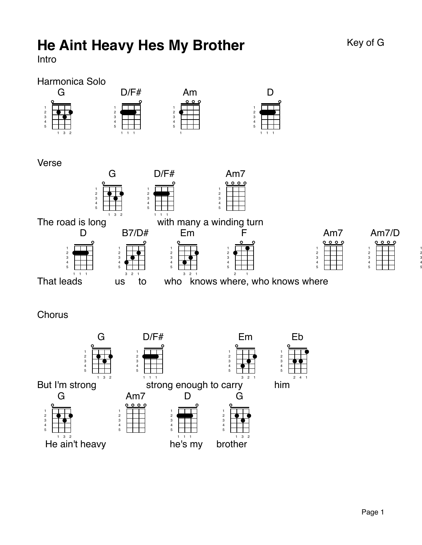# He Aint Heavy Hes My Brother Key of G

Intro

### Harmonica Solo



Verse



**Chorus** 

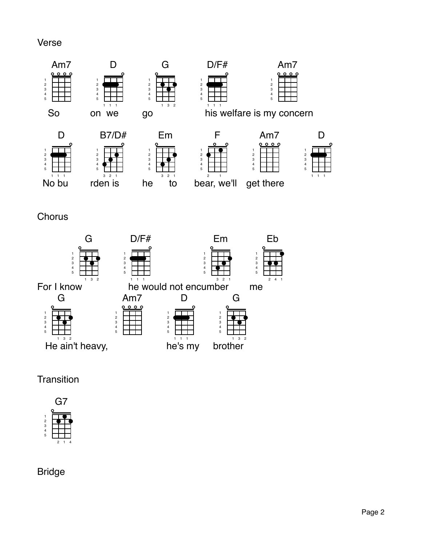#### Verse





## **Transition**



Bridge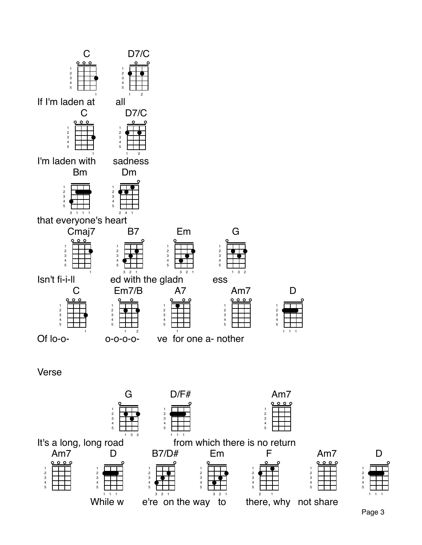

B7/D#

2 1

e're on the way to

Em

F

1

there, why not share

Am7

2 1

Am7

D

 $\mathsf{While}^{\text{!`}}\mathsf{w}$ 

Page 3